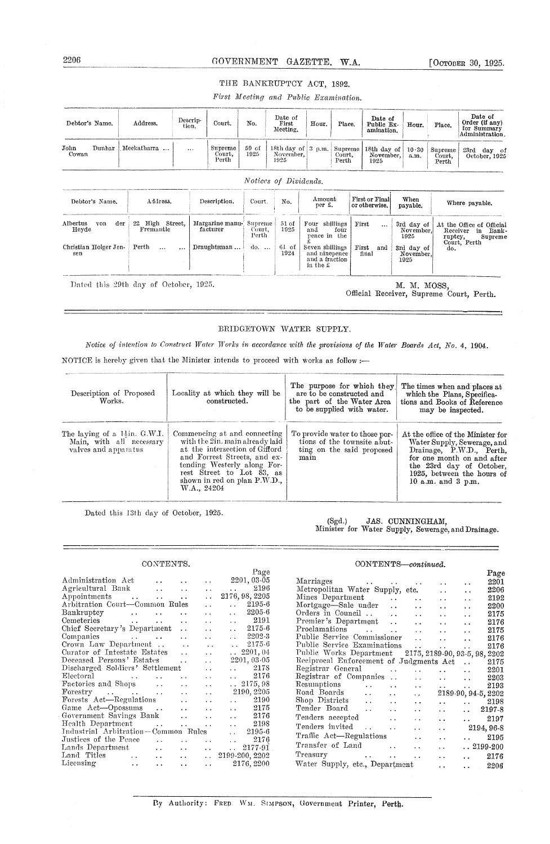### GOVERNMENT GAZETTE, W.A.

[Остовек 30, 1925.

### THE BANKRUPTCY ACT, 1892.

First Meeting and Public Examination.

| Debtor's Name.                  | Address.                              | Descrip-<br>tion. | Court.                      | No.                        | Date of<br>First<br>Meeting.                          | Hour.                                                          | Place.                     |       | Date of<br>Public Ex-<br>amination. | Hour.                           | Place.                     | Date of<br>Order (if any)<br>for Summary<br>Administration.                                        |  |
|---------------------------------|---------------------------------------|-------------------|-----------------------------|----------------------------|-------------------------------------------------------|----------------------------------------------------------------|----------------------------|-------|-------------------------------------|---------------------------------|----------------------------|----------------------------------------------------------------------------------------------------|--|
| Dunbar<br>John<br>Cowan         | Meekatharra                           | $\cdots$          | Supreme<br>Court,<br>Perth  | 59 of<br>1925              | 18th day of $\vert 3 \vert p.m.$<br>November,<br>1925 |                                                                | Supreme<br>Court,<br>Perth |       | 18th day of<br>November,<br>1925    | 10.30<br>a.m.                   | Supreme<br>Court,<br>Perth | 23rd day of<br>October, 1925                                                                       |  |
|                                 |                                       |                   |                             |                            | Notices of Dividends.                                 |                                                                |                            |       |                                     |                                 |                            |                                                                                                    |  |
| Debtor's Name.                  | Address.                              |                   | Description.                | Court.                     | No.                                                   | Amount<br>per £.                                               |                            |       | First or Final<br>or otherwise.     | When<br>payable.                |                            | Where payable.                                                                                     |  |
| der<br>Albertus<br>von<br>Heyde | 22 High Street.<br>Fremantle          |                   | Margarine manu-<br>facturer | Supreme<br>Court,<br>Perth | 51 of<br>1925                                         | Four shillings<br>and<br>pence in the                          | four                       | First | $\cdots$                            | 3rd day of<br>November,<br>1925 |                            | At the Office of Official<br>Receiver<br>in<br>Bank -<br>ruptcy,<br>Supreme<br>Court, Perth<br>do. |  |
| Christian Holger Jen-<br>sen    | Perth<br>$\ddotsc$                    | $\cdots$          | Draughtsman                 | $\phi$                     | 61 of<br>1924                                         | Seven shillings<br>and ninepence<br>and a fraction<br>in the £ |                            | First | and<br>final                        | 3rd day of<br>November,<br>1925 |                            |                                                                                                    |  |
|                                 | Dated this 29th day of October, 1925. |                   |                             |                            |                                                       |                                                                |                            |       |                                     | M. M. MOSS.                     |                            |                                                                                                    |  |

M. M. MOSS, Official Receiver, Supreme Court, Perth.

#### BRIDGETOWN WATER SUPPLY.

Notice of intention to Construct Water Works in accordance with the provisions of the Water Boards Act, No. 4, 1904.

NOTICE is hereby given that the Minister intends to proceed with works as follow :-

| Description of Proposed<br>Works.                                                             | Locality at which they will be<br>constructed.                                                                                                                                                                                               | The purpose for which they<br>are to be constructed and<br>the part of the Water Area<br>to be supplied with water. | The times when and places at<br>which the Plans, Specifica-<br>tions and Books of Reference<br>may be inspected.                                                                                                     |
|-----------------------------------------------------------------------------------------------|----------------------------------------------------------------------------------------------------------------------------------------------------------------------------------------------------------------------------------------------|---------------------------------------------------------------------------------------------------------------------|----------------------------------------------------------------------------------------------------------------------------------------------------------------------------------------------------------------------|
| The laying of a $1\frac{1}{2}$ in. G.W.I.<br>Main, with all necessary<br>valves and apparatus | Commencing at and connecting<br>with the 2in. main already laid<br>at the intersection of Gifford<br>and Forrest Streets, and ex-<br>tending Westerly along For-<br>rest Street to Lot 83, as<br>shown in red on plan P.W.D.,<br>W.A., 24204 | To provide water to those por-<br>tions of the townsite abut-<br>ting on the said proposed<br>main                  | At the office of the Minister for<br>Water Supply, Sewerage, and<br>Drainage, P.W.D., Perth,<br>for one month on and after<br>the 23rd day of October,<br>1925, between the hours of<br>10 a.m. and $3 \text{ p.m.}$ |

Dated this 13th day of October, 1925.

### CONTENTS.

| UUN LEIN IN.                                        |                          |                      |                                  |
|-----------------------------------------------------|--------------------------|----------------------|----------------------------------|
|                                                     |                          |                      | Page                             |
| Administration Act                                  |                          | . .                  | $2201,03\text{-}05$              |
| Agricultural Bank                                   |                          | $\ddot{\phantom{0}}$ | $\ldots$ 2196                    |
| Appointments                                        |                          | . .                  | 2176, 98, 2205                   |
| Arbitration Court—Common Rules                      |                          | $\ddot{\phantom{0}}$ | $\ldots$ 2195-6                  |
| Bankruptcy                                          | $\ddot{\phantom{a}}$     | $\ddot{\phantom{0}}$ | $\ldots$ 2205-6                  |
| Cemeteries                                          |                          | $\ddot{\phantom{0}}$ | 2191<br>$\ddot{\phantom{a}}$     |
| Chief Secretary's Department                        |                          | $\ddot{\phantom{a}}$ | $\ldots$ 2175-6                  |
| Companies                                           |                          | $\ddot{\phantom{0}}$ | $\ldots$ 2202-3                  |
| Crown Law Department                                | $\sim$ .                 | $\ddotsc$            | $\ldots$ 2175-6                  |
| Curator of Intestate Estates                        | $\sim$                   | 22                   | $\ldots$ 2201, 04                |
| Deceased Persons' Estates                           | $\ddot{\phantom{0}}$     | $\ddot{\phantom{0}}$ | 2201, 03-05                      |
| Discharged Soldiers' Settlement                     |                          | $\ddot{\phantom{0}}$ | $\ldots$ 2178                    |
| $\Xi$ lectoral                                      |                          | and the state        | $\ldots$ 2176                    |
| Factories and Shops                                 |                          | <b>San America</b>   | $\ldots 2175,98$                 |
|                                                     |                          |                      | 2190, 2205                       |
| Forests Act—Regulations                             |                          | and the state        | $\ldots$ 2190                    |
| Game Act-Opossums<br>$\sim$ 4.4                     | $\ddotsc$                | $\sim$ .             | $\ldots$ 2175                    |
| Government Savings Bank                             | $\ddot{\phantom{a}}$     | $\ddot{\phantom{a}}$ | $\ldots$ 2176                    |
| Health Department                                   | <b>Contract Contract</b> | $\ddot{\phantom{a}}$ | $\ldots$ 2198                    |
| Industrial Arbitration—Common Rules                 |                          |                      | $\ldots$ 2195-6                  |
| Justices of the Peace $\qquad \ldots$               | $\mathbf{r}$             | and the control      | $\ldots$ 2176                    |
| Lands Department<br>$\ddot{\phantom{a}}$            | <b>CALL COV</b>          | and the con-         | 2177-91<br>$\ddotsc$             |
| Land Titles<br>$\sim$ $\sim$                        |                          |                      | $\ldots$ $\ldots$ 2199-200, 2202 |
| $\rm Lieensing$<br>$\sim$ .<br>$\ddot{\phantom{0}}$ | $\ddot{\phantom{0}}$     |                      | $\ldots$ 2176, 2200              |
|                                                     |                          |                      |                                  |

## $\begin{tabular}{ll} (Sgd.) & JAS. ~ CUNNINGHAM, \\ Minister for Water Supply, Sewerage, and Drainage. \end{tabular}$

### CONTENTS-continued.

| Marriages<br>2201<br>the control of the control of<br>$\ddot{\phantom{1}}$<br>Metropolitan Water Supply, etc.<br>2206<br>$\ddot{\phantom{0}}$<br>$\ddot{\phantom{0}}$<br>Mines Department<br>2192<br>$\ddot{\phantom{0}}$<br>$\ddot{\phantom{a}}$<br>$\ddot{\phantom{0}}$<br>$\ddot{\phantom{a}}$<br>Mortgage-Sale under<br>2200<br>$\mathbf{r}$<br>$\ddot{\phantom{a}}$<br>$\ddot{\phantom{a}}$<br>$\ddot{\phantom{0}}$<br>Orders in Council<br>2175<br>$\ddot{\phantom{a}}$<br>$\ddot{\phantom{a}}$<br>$\ddot{\phantom{a}}$<br>$\ddot{\phantom{0}}$<br>Premier's Department<br>2176<br>$\ddot{\phantom{a}}$<br>$\ddot{\phantom{a}}$<br>$\ddot{\phantom{a}}$<br>$\ddotsc$<br>Proclamations<br>2175<br>and the company<br>$\ddot{\phantom{a}}$<br>$\ddot{\phantom{0}}$<br>$\ddot{\phantom{a}}$<br>Public Service Commissioner<br>2176<br>$\sim$<br>$\ddot{\phantom{0}}$<br>Public Service Examinations<br>2176<br>$\ddot{\phantom{0}}$<br>$\ddot{\phantom{a}}$<br>Public Works Department<br>2175, 2189-90, 93-5, 98, 2202<br>Reciprocal Enforcement of Judgments Act<br>2175<br>Registrar General<br>2201<br>$\ddot{\phantom{0}}$<br>$\ddot{\phantom{0}}$<br>Registrar of Companies<br>2203<br>$\ddot{\phantom{a}}$<br>$\ddot{\phantom{0}}$<br><b>Contract Contract</b><br>$\ddot{\phantom{a}}$<br>Resumptions<br><b>Contractor</b><br>2193<br>$\ddot{\phantom{0}}$<br>$\ddot{\phantom{0}}$<br><b>Allen Control</b><br>Road Boards<br>2189-90, 94-5, 2202<br>$\ddot{\phantom{a}}$<br>$\ddot{\phantom{0}}$<br>$\ddot{\phantom{a}}$<br>Shop Districts<br>$\sim$ $\sim$<br>2198<br>. .<br>$\ddot{\phantom{a}}$<br>$\cdots$<br>$\ddot{\phantom{0}}$<br>Tender Board<br>2197-8<br>$\sim$ .<br>$\ddotsc$<br>$\cdots$<br>$\ddot{\phantom{1}}$<br>$\ddot{\phantom{1}}$<br>Tenders accepted<br>2197<br>$\ddot{\phantom{a}}$<br>. .<br>$\ddot{\phantom{1}}$<br>Tenders invited<br>$\sim 100$<br>2194, 96-8<br>$\ddot{\phantom{a}}$<br>. .<br>. .<br>Traffic Act-Regulations<br>2195<br>$\ddot{\phantom{0}}$<br>$\ddot{\phantom{0}}$ |  |  | Page |
|----------------------------------------------------------------------------------------------------------------------------------------------------------------------------------------------------------------------------------------------------------------------------------------------------------------------------------------------------------------------------------------------------------------------------------------------------------------------------------------------------------------------------------------------------------------------------------------------------------------------------------------------------------------------------------------------------------------------------------------------------------------------------------------------------------------------------------------------------------------------------------------------------------------------------------------------------------------------------------------------------------------------------------------------------------------------------------------------------------------------------------------------------------------------------------------------------------------------------------------------------------------------------------------------------------------------------------------------------------------------------------------------------------------------------------------------------------------------------------------------------------------------------------------------------------------------------------------------------------------------------------------------------------------------------------------------------------------------------------------------------------------------------------------------------------------------------------------------------------------------------------------------------------------------------------------------------------------------------------------------------------------------------|--|--|------|
|                                                                                                                                                                                                                                                                                                                                                                                                                                                                                                                                                                                                                                                                                                                                                                                                                                                                                                                                                                                                                                                                                                                                                                                                                                                                                                                                                                                                                                                                                                                                                                                                                                                                                                                                                                                                                                                                                                                                                                                                                            |  |  |      |
|                                                                                                                                                                                                                                                                                                                                                                                                                                                                                                                                                                                                                                                                                                                                                                                                                                                                                                                                                                                                                                                                                                                                                                                                                                                                                                                                                                                                                                                                                                                                                                                                                                                                                                                                                                                                                                                                                                                                                                                                                            |  |  |      |
|                                                                                                                                                                                                                                                                                                                                                                                                                                                                                                                                                                                                                                                                                                                                                                                                                                                                                                                                                                                                                                                                                                                                                                                                                                                                                                                                                                                                                                                                                                                                                                                                                                                                                                                                                                                                                                                                                                                                                                                                                            |  |  |      |
|                                                                                                                                                                                                                                                                                                                                                                                                                                                                                                                                                                                                                                                                                                                                                                                                                                                                                                                                                                                                                                                                                                                                                                                                                                                                                                                                                                                                                                                                                                                                                                                                                                                                                                                                                                                                                                                                                                                                                                                                                            |  |  |      |
|                                                                                                                                                                                                                                                                                                                                                                                                                                                                                                                                                                                                                                                                                                                                                                                                                                                                                                                                                                                                                                                                                                                                                                                                                                                                                                                                                                                                                                                                                                                                                                                                                                                                                                                                                                                                                                                                                                                                                                                                                            |  |  |      |
|                                                                                                                                                                                                                                                                                                                                                                                                                                                                                                                                                                                                                                                                                                                                                                                                                                                                                                                                                                                                                                                                                                                                                                                                                                                                                                                                                                                                                                                                                                                                                                                                                                                                                                                                                                                                                                                                                                                                                                                                                            |  |  |      |
|                                                                                                                                                                                                                                                                                                                                                                                                                                                                                                                                                                                                                                                                                                                                                                                                                                                                                                                                                                                                                                                                                                                                                                                                                                                                                                                                                                                                                                                                                                                                                                                                                                                                                                                                                                                                                                                                                                                                                                                                                            |  |  |      |
|                                                                                                                                                                                                                                                                                                                                                                                                                                                                                                                                                                                                                                                                                                                                                                                                                                                                                                                                                                                                                                                                                                                                                                                                                                                                                                                                                                                                                                                                                                                                                                                                                                                                                                                                                                                                                                                                                                                                                                                                                            |  |  |      |
|                                                                                                                                                                                                                                                                                                                                                                                                                                                                                                                                                                                                                                                                                                                                                                                                                                                                                                                                                                                                                                                                                                                                                                                                                                                                                                                                                                                                                                                                                                                                                                                                                                                                                                                                                                                                                                                                                                                                                                                                                            |  |  |      |
|                                                                                                                                                                                                                                                                                                                                                                                                                                                                                                                                                                                                                                                                                                                                                                                                                                                                                                                                                                                                                                                                                                                                                                                                                                                                                                                                                                                                                                                                                                                                                                                                                                                                                                                                                                                                                                                                                                                                                                                                                            |  |  |      |
|                                                                                                                                                                                                                                                                                                                                                                                                                                                                                                                                                                                                                                                                                                                                                                                                                                                                                                                                                                                                                                                                                                                                                                                                                                                                                                                                                                                                                                                                                                                                                                                                                                                                                                                                                                                                                                                                                                                                                                                                                            |  |  |      |
|                                                                                                                                                                                                                                                                                                                                                                                                                                                                                                                                                                                                                                                                                                                                                                                                                                                                                                                                                                                                                                                                                                                                                                                                                                                                                                                                                                                                                                                                                                                                                                                                                                                                                                                                                                                                                                                                                                                                                                                                                            |  |  |      |
|                                                                                                                                                                                                                                                                                                                                                                                                                                                                                                                                                                                                                                                                                                                                                                                                                                                                                                                                                                                                                                                                                                                                                                                                                                                                                                                                                                                                                                                                                                                                                                                                                                                                                                                                                                                                                                                                                                                                                                                                                            |  |  |      |
|                                                                                                                                                                                                                                                                                                                                                                                                                                                                                                                                                                                                                                                                                                                                                                                                                                                                                                                                                                                                                                                                                                                                                                                                                                                                                                                                                                                                                                                                                                                                                                                                                                                                                                                                                                                                                                                                                                                                                                                                                            |  |  |      |
|                                                                                                                                                                                                                                                                                                                                                                                                                                                                                                                                                                                                                                                                                                                                                                                                                                                                                                                                                                                                                                                                                                                                                                                                                                                                                                                                                                                                                                                                                                                                                                                                                                                                                                                                                                                                                                                                                                                                                                                                                            |  |  |      |
|                                                                                                                                                                                                                                                                                                                                                                                                                                                                                                                                                                                                                                                                                                                                                                                                                                                                                                                                                                                                                                                                                                                                                                                                                                                                                                                                                                                                                                                                                                                                                                                                                                                                                                                                                                                                                                                                                                                                                                                                                            |  |  |      |
|                                                                                                                                                                                                                                                                                                                                                                                                                                                                                                                                                                                                                                                                                                                                                                                                                                                                                                                                                                                                                                                                                                                                                                                                                                                                                                                                                                                                                                                                                                                                                                                                                                                                                                                                                                                                                                                                                                                                                                                                                            |  |  |      |
|                                                                                                                                                                                                                                                                                                                                                                                                                                                                                                                                                                                                                                                                                                                                                                                                                                                                                                                                                                                                                                                                                                                                                                                                                                                                                                                                                                                                                                                                                                                                                                                                                                                                                                                                                                                                                                                                                                                                                                                                                            |  |  |      |
|                                                                                                                                                                                                                                                                                                                                                                                                                                                                                                                                                                                                                                                                                                                                                                                                                                                                                                                                                                                                                                                                                                                                                                                                                                                                                                                                                                                                                                                                                                                                                                                                                                                                                                                                                                                                                                                                                                                                                                                                                            |  |  |      |
|                                                                                                                                                                                                                                                                                                                                                                                                                                                                                                                                                                                                                                                                                                                                                                                                                                                                                                                                                                                                                                                                                                                                                                                                                                                                                                                                                                                                                                                                                                                                                                                                                                                                                                                                                                                                                                                                                                                                                                                                                            |  |  |      |
|                                                                                                                                                                                                                                                                                                                                                                                                                                                                                                                                                                                                                                                                                                                                                                                                                                                                                                                                                                                                                                                                                                                                                                                                                                                                                                                                                                                                                                                                                                                                                                                                                                                                                                                                                                                                                                                                                                                                                                                                                            |  |  |      |
| Transfer of Land<br>$. . 2199-200$<br>. .<br>$\ddot{\phantom{0}}$                                                                                                                                                                                                                                                                                                                                                                                                                                                                                                                                                                                                                                                                                                                                                                                                                                                                                                                                                                                                                                                                                                                                                                                                                                                                                                                                                                                                                                                                                                                                                                                                                                                                                                                                                                                                                                                                                                                                                          |  |  |      |
| Treasury<br>2176<br>. .<br>$\cdots$<br>. .                                                                                                                                                                                                                                                                                                                                                                                                                                                                                                                                                                                                                                                                                                                                                                                                                                                                                                                                                                                                                                                                                                                                                                                                                                                                                                                                                                                                                                                                                                                                                                                                                                                                                                                                                                                                                                                                                                                                                                                 |  |  |      |
| Water Supply, etc., Department<br>2206<br><b>Alberta</b><br>$\ddot{\phantom{0}}$                                                                                                                                                                                                                                                                                                                                                                                                                                                                                                                                                                                                                                                                                                                                                                                                                                                                                                                                                                                                                                                                                                                                                                                                                                                                                                                                                                                                                                                                                                                                                                                                                                                                                                                                                                                                                                                                                                                                           |  |  |      |

By Authority: FRED. WM. SIMPSON, GOVernment Printer, Perth.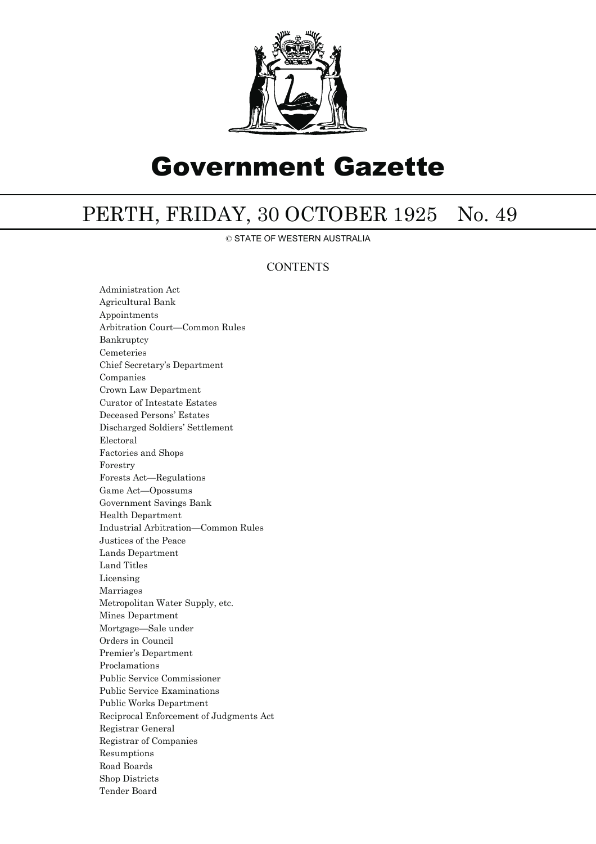

# Government Gazette

# PERTH, FRIDAY, 30 OCTOBER 1925 No. 49

© STATE OF WESTERN AUSTRALIA

### **CONTENTS**

Administration Act Agricultural Bank Appointments Arbitration Court—Common Rules Bankruptcy Cemeteries Chief Secretary's Department Companies Crown Law Department Curator of Intestate Estates Deceased Persons' Estates Discharged Soldiers' Settlement Electoral Factories and Shops Forestry Forests Act—Regulations Game Act—Opossums Government Savings Bank Health Department Industrial Arbitration—Common Rules Justices of the Peace Lands Department Land Titles Licensing Marriages Metropolitan Water Supply, etc. Mines Department Mortgage—Sale under Orders in Council Premier's Department Proclamations Public Service Commissioner Public Service Examinations Public Works Department Reciprocal Enforcement of Judgments Act Registrar General Registrar of Companies Resumptions Road Boards Shop Districts Tender Board